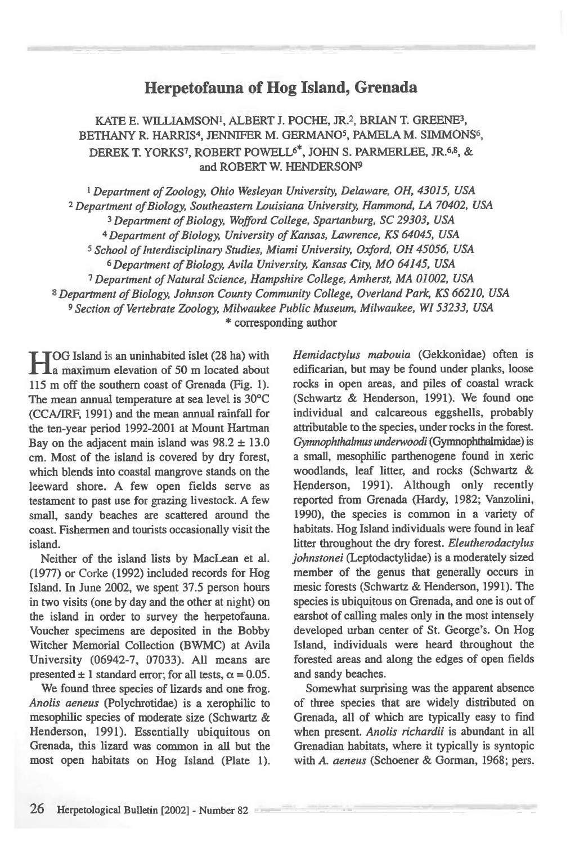## **Herpetofauna of Hog Island, Grenada**

KATE E. WILLIAMSON', ALBERT J. POCHE, JR.2, BRIAN T. GREENE3, BETHANY R. HARRIS<sup>4</sup>, JENNIFER M. GERMANO<sup>5</sup>, PAMELA M. SIMMONS<sup>6</sup>, DEREK T. YORKS<sup>7</sup>, ROBERT POWELL<sup>6\*</sup>, JOHN S. PARMERLEE, JR.<sup>6,8</sup>, & and ROBERT W. HENDERSON9

 *Department of Zoology, Ohio Wesleyan University, Delaware, OH, 43015, USA Department of Biology, Southeastern Louisiana University, Hammond, LA 70402, USA Department of Biology, Wofford College, Spartanburg, SC 29303, USA Department of Biology, University of Kansas, Lawrence, KS 64045, USA School of Interdisciplinary Studies, Miami University, Oxford, OH 45056, USA Department of Biology, Avila University, Kansas City, MO 64145, USA Department of Natural Science, Hampshire College, Amherst, MA 01002, USA Department of Biology, Johnson County Community College, Overland Park, KS 66210, USA Section of Vertebrate Zoology, Milwaukee Public Museum, Milwaukee, WI 53233, USA*  \* corresponding author

**H**OG Island is an uninhabited islet (28 ha) with a maximum elevation of 50 m located about **La maximum elevation of 50 m located about** 115 m off the southern coast of Grenada (Fig. 1). The mean annual temperature at sea level is 30°C (CCAARF, 1991) and the mean annual rainfall for the ten-year period 1992-2001 at Mount Hartman Bay on the adjacent main island was  $98.2 \pm 13.0$ cm. Most of the island is covered by dry forest, which blends into coastal mangrove stands on the leeward shore. A few open fields serve as testament to past use for grazing livestock. A few small, sandy beaches are scattered around the coast. Fishermen and tourists occasionally visit the island.

Neither of the island lists by MacLean et al. (1977) or Corke (1992) included records for Hog Island. In June 2002, we spent 37.5 person hours in two visits (one by day and the other at night) on the island in order to survey the herpetofauna. Voucher specimens are deposited in the Bobby Witcher Memorial Collection (BWMC) at Avila University (06942-7, 07033). All means are presented  $\pm 1$  standard error; for all tests,  $\alpha = 0.05$ .

We found three species of lizards and one frog. *Anolis aeneus* (Polychrotidae) is a xerophilic to mesophilic species of moderate size (Schwartz & Henderson, 1991). Essentially ubiquitous on Grenada, this lizard was common in all but the most open habitats on Hog Island (Plate 1). *Hemidactylus mabouia* (Gekkonidae) often is edificarian, but may be found under planks, loose rocks in open areas, and piles of coastal wrack (Schwartz & Henderson, 1991). We found one individual and calcareous eggshells, probably attributable to the species, under rocks in the forest. *Gymnophthabnus undenvoodi* (Gymnophthalmidae) is a small, mesophilic parthenogene found in xeric woodlands, leaf litter, and rocks (Schwartz & Henderson, 1991). Although only recently reported from Grenada (Hardy, 1982; Vanzolini, 1990), the species is common in a variety of habitats. Hog Island individuals were found in leaf litter throughout the dry forest. *Eleutherodactylus johnstonei* (Leptodactylidae) is a moderately sized member of the genus that generally occurs in mesic forests (Schwartz & Henderson, 1991). The species is ubiquitous on Grenada, and one is out of earshot of calling males only in the most intensely developed urban center of St. George's. On Hog Island, individuals were heard throughout the forested areas and along the edges of open fields and sandy beaches.

Somewhat surprising was the apparent absence of three species that are widely distributed on Grenada, all of which are typically easy to find when present. *Anolis richardii* is abundant in all Grenadian habitats, where it typically is syntopic with *A. aeneus* (Schoener & Gorman, 1968; pers.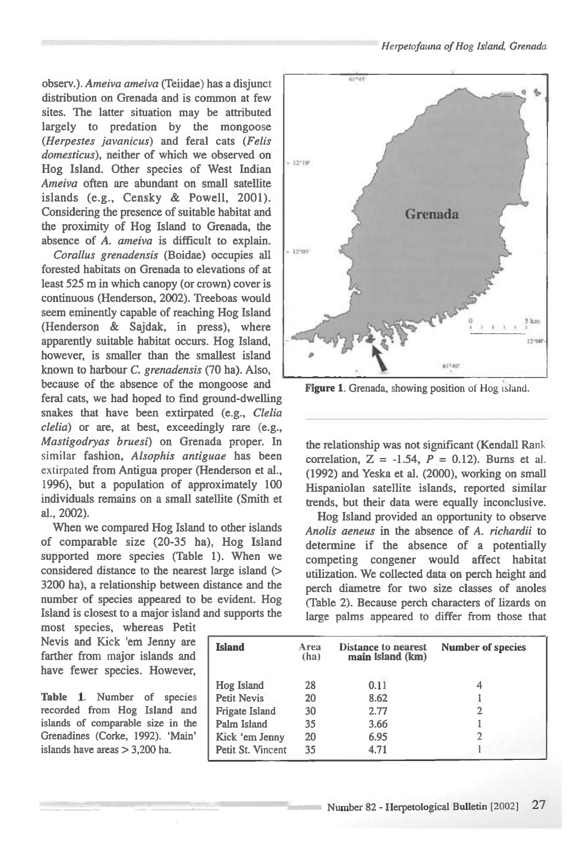observ.). *Ameiva ameiva* (Teiidae) has a disjunct distribution on Grenada and is common at few sites. The latter situation may be attributed largely to predation by the mongoose *(Herpestes javanicus)* and feral cats *(Felis domesticus),* neither of which we observed on Hog Island. Other species of West Indian *Ameiva* often are abundant on small satellite islands (e.g., Censky & Powell, 2001). Considering the presence of suitable habitat and the proximity of Hog Island to Grenada, the absence of *A. ameiva* is difficult to explain.

*Corallus grenadensis* (Boidae) occupies all forested habitats on Grenada to elevations of at least 525 m in which canopy (or crown) cover is continuous (Henderson, 2002). Treeboas would seem eminently capable of reaching Hog Island (Henderson & Sajdak, in press), where apparently suitable habitat occurs. Hog Island, however, is smaller than the smallest island known to harbour *C. grenadensis* (70 ha). Also, because of the absence of the mongoose and feral cats, we had hoped to find ground-dwelling snakes that have been extirpated (e.g., *Clelia Clelia)* or are, at best, exceedingly rare (e.g., *Mastigodryas bruesi)* on Grenada proper. In similar fashion, *Alsophis antiguae* has been extirpated from Antigua proper (Henderson et al., 1996), but a population of approximately 100 individuals remains on a small satellite (Smith et al., 2002).

When we compared Hog Island to other islands of comparable size (20-35 ha), Hog Island supported more species (Table 1). When we considered distance to the nearest large island (> 3200 ha), a relationship between distance and the number of species appeared to be evident. Hog Island is closest to a major island and supports the

most species, whereas Petit Nevis and Kick 'em Jenny are farther from major islands and have fewer species. However,

**Table 1.** Number of species recorded from Hog Island and islands of comparable size in the Grenadines (Corke, 1992). 'Main' islands have areas > 3,200 ha.



Figure 1. Grenada, showing position of Hog island.

the relationship was not significant (Kendall Rank correlation,  $Z = -1.54$ ,  $P = 0.12$ ). Burns et al. (1992) and Yeska et al. (2000), working on small Hispaniolan satellite islands, reported similar trends, but their data were equally inconclusive.

Hog Island provided an opportunity to observe *Anolis aeneus* in the absence of *A. richardii* to determine if the absence of a potentially competing congener would affect habitat utilization. We collected data on perch height and perch diametre for two size classes of anoles (Table 2). Because perch characters of lizards on large palms appeared to differ from those that

| <b>Island</b>      | Area<br>(ha) | <b>Distance to nearest</b><br>main island (km) | <b>Number of species</b> |  |  |
|--------------------|--------------|------------------------------------------------|--------------------------|--|--|
| Hog Island         | 28           | 0.11                                           |                          |  |  |
| <b>Petit Nevis</b> | 20           | 8.62                                           |                          |  |  |
| Frigate Island     | 30           | 2.77                                           |                          |  |  |
| Palm Island        | 35           | 3.66                                           |                          |  |  |
| Kick 'em Jenny     | 20           | 6.95                                           |                          |  |  |
| Petit St. Vincent  | 35           | 4.71                                           |                          |  |  |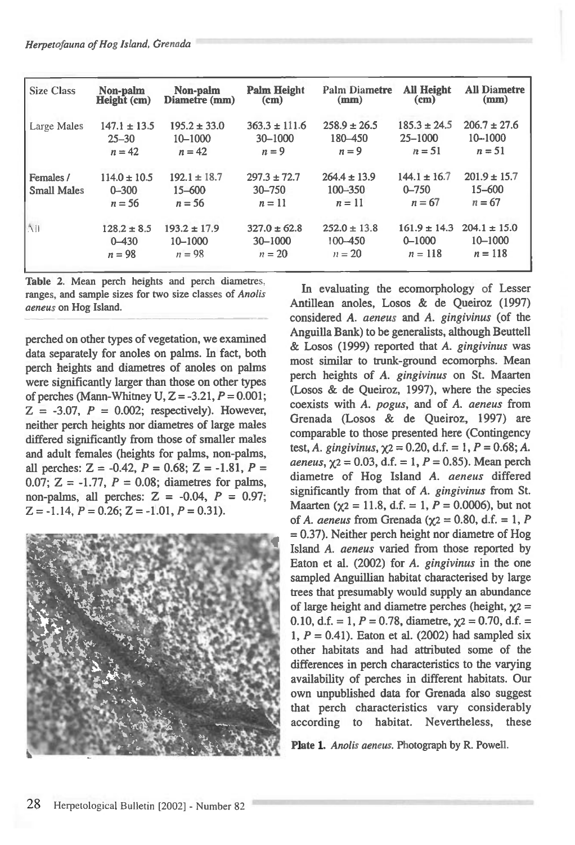| <b>Size Class</b>               | Non-palm                                  | Non-palm                               | <b>Palm Height</b>                       | <b>Palm Diametre</b>                  | <b>All Height</b>                         | <b>All Diametre</b>                    |
|---------------------------------|-------------------------------------------|----------------------------------------|------------------------------------------|---------------------------------------|-------------------------------------------|----------------------------------------|
|                                 | Height (cm)                               | Diametre (mm)                          | (cm)                                     | (mm)                                  | (c <sub>m</sub> )                         | (mm)                                   |
| Large Males                     | $147.1 \pm 13.5$                          | $195.2 \pm 33.0$                       | $363.3 \pm 111.6$                        | $258.9 \pm 26.5$                      | $185.3 \pm 24.5$                          | $206.7 \pm 27.6$                       |
|                                 | $25 - 30$                                 | 10-1000                                | 30-1000                                  | 180 - 450                             | $25 - 1000$                               | $10 - 1000$                            |
|                                 | $n = 42$                                  | $n=42$                                 | $n = 9$                                  | $n = 9$                               | $n = 51$                                  | $n = 51$                               |
| Females /<br><b>Small Males</b> | $114.0 \pm 10.5$<br>$0 - 300$<br>$n = 56$ | $192.1 \pm 18.7$<br>15-600<br>$n = 56$ | $297.3 \pm 72.7$<br>$30 - 750$<br>$n=11$ | $264.4 \pm 13.9$<br>100-350<br>$n=11$ | $144.1 \pm 16.7$<br>$0 - 750$<br>$n = 67$ | $201.9 \pm 15.7$<br>15-600<br>$n = 67$ |
| All                             | $128.2 \pm 8.5$                           | $193.2 \pm 17.9$                       | $327.0 \pm 62.8$                         | $252.0 \pm 13.8$                      | $161.9 \pm 14.3$                          | $204.1 \pm 15.0$                       |
|                                 | $0 - 430$                                 | $10 - 1000$                            | 30-1000                                  | 100-450                               | $0 - 1000$                                | $10 - 1000$                            |
|                                 | $n = 98$                                  | $n = 98$                               | $n = 20$                                 | $n = 20$                              | $n = 118$                                 | $n = 118$                              |

**Table** 2. Mean perch heights and perch diametres. ranges, and sample sizes for two size classes of *Anolis aeneus* on Hog Island.

perched on other types of vegetation, we examined data separately for anoles on palms. In fact, both perch heights and diametres of anoles on palms were significantly larger than those on other types of perches (Mann-Whitney U, Z = -3.21, *P =* 0.001;  $Z = -3.07$ ,  $P = 0.002$ ; respectively). However, neither perch heights nor diametres of large males differed significantly from those of smaller males and adult females (heights for palms, non-palms, all perches:  $Z = -0.42$ ,  $P = 0.68$ ;  $Z = -1.81$ ,  $P =$ 0.07; Z = -1.77, *P =* 0.08; diametres for palms, non-palms, all perches: Z = -0.04, *P =* 0.97;  $Z = -1.14$ ,  $P = 0.26$ ;  $Z = -1.01$ ,  $P = 0.31$ ).



In evaluating the ecomorphology of Lesser Antillean anoles, Losos & de Queiroz (1997) considered A. *aeneus* and *A. gingivinus* (of the Anguilla Bank) to be generalists, although Beuttell & Losos (1999) reported that A. *gingivinus* was most similar to trunk-ground ecomorphs. Mean perch heights of A. *gingivinus* on St. Maarten (Losos & de Queiroz, 1997), where the species coexists with *A. pogus,* and of A. *aeneus* from Grenada (Losos & de Queiroz, 1997) are comparable to those presented here (Contingency test, A. *gingivinus*,  $\chi$ 2 = 0.20, d.f. = 1,  $P = 0.68$ ; A. *aeneus*,  $\chi$ 2 = 0.03, d.f. = 1, *P* = 0.85). Mean perch diametre of Hog Island *A. aeneus* differed significantly from that of A. *gingivinus* from St. Maarten ( $\chi$ 2 = 11.8, d.f. = 1, *P* = 0.0006), but not of A. *aeneus* from Grenada ( $\gamma$ 2 = 0.80, d.f. = 1, P  $= 0.37$ ). Neither perch height nor diametre of Hog Island A. *aeneus* varied from those reported by Eaton et al. (2002) for A. *gingivinus* in the one sampled Anguillian habitat characterised by large trees that presumably would supply an abundance of large height and diametre perches (height,  $\chi$ 2 = 0.10, d.f. = 1,  $P = 0.78$ , diametre,  $\chi$ 2 = 0.70, d.f. = 1,  $P = 0.41$ ). Eaton et al. (2002) had sampled six other habitats and had attributed some of the differences in perch characteristics to the varying availability of perches in different habitats. Our own unpublished data for Grenada also suggest that perch characteristics vary considerably according to habitat. Nevertheless, these

**Plate 1.** *Anolis aeneus.* Photograph by R. Powell.